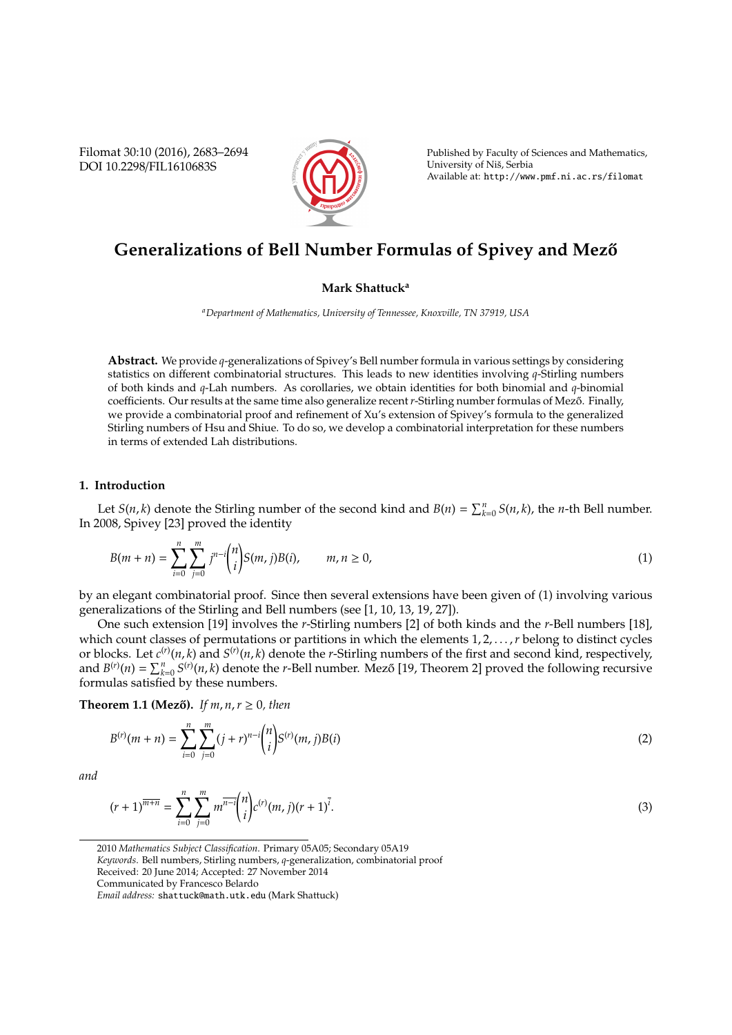Filomat 30:10 (2016), 2683–2694 DOI 10.2298/FIL1610683S



Published by Faculty of Sciences and Mathematics, University of Niš, Serbia Available at: http://www.pmf.ni.ac.rs/filomat

# **Generalizations of Bell Number Formulas of Spivey and Mező**

## **Mark Shattuck<sup>a</sup>**

*<sup>a</sup>Department of Mathematics, University of Tennessee, Knoxville, TN 37919, USA*

**Abstract.** We provide *q*-generalizations of Spivey's Bell number formula in various settings by considering statistics on different combinatorial structures. This leads to new identities involving *q*-Stirling numbers of both kinds and *q*-Lah numbers. As corollaries, we obtain identities for both binomial and *q*-binomial coefficients. Our results at the same time also generalize recent *r*-Stirling number formulas of Mező. Finally, we provide a combinatorial proof and refinement of Xu's extension of Spivey's formula to the generalized Stirling numbers of Hsu and Shiue. To do so, we develop a combinatorial interpretation for these numbers in terms of extended Lah distributions.

#### **1. Introduction**

Let *S*(*n*, *k*) denote the Stirling number of the second kind and *B*(*n*) =  $\sum_{k=0}^{n} S(n, k)$ , the *n*-th Bell number. In 2008, Spivey [23] proved the identity

$$
B(m+n) = \sum_{i=0}^{n} \sum_{j=0}^{m} j^{n-i} {n \choose i} S(m, j) B(i), \qquad m, n \ge 0,
$$
\n(1)

by an elegant combinatorial proof. Since then several extensions have been given of (1) involving various generalizations of the Stirling and Bell numbers (see [1, 10, 13, 19, 27]).

One such extension [19] involves the *r*-Stirling numbers [2] of both kinds and the *r*-Bell numbers [18], which count classes of permutations or partitions in which the elements 1, 2, . . . , *r* belong to distinct cycles or blocks. Let  $c^{(r)}(n,k)$  and  $S^{(r)}(n,k)$  denote the *r*-Stirling numbers of the first and second kind, respectively, and  $B^{(r)}(n) = \sum_{k=0}^{n} S^{(r)}(n, k)$  denote the *r*-Bell number. Mező [19, Theorem 2] proved the following recursive formulas satisfied by these numbers.

**Theorem 1.1 (Mező).** *If*  $m, n, r \ge 0$ , then

$$
B^{(r)}(m+n) = \sum_{i=0}^{n} \sum_{j=0}^{m} (j+r)^{n-i} {n \choose i} S^{(r)}(m,j) B(i)
$$
 (2)

*and*

$$
(r+1)^{\overline{m+n}} = \sum_{i=0}^{n} \sum_{j=0}^{m} m^{\overline{n-i}} {n \choose i} c^{(r)} (m, j) (r+1)^{\overline{i}}.
$$
 (3)

<sup>2010</sup> *Mathematics Subject Classification*. Primary 05A05; Secondary 05A19

*Keywords*. Bell numbers, Stirling numbers, *q*-generalization, combinatorial proof

Received: 20 June 2014; Accepted: 27 November 2014

Communicated by Francesco Belardo

*Email address:* shattuck@math.utk.edu (Mark Shattuck)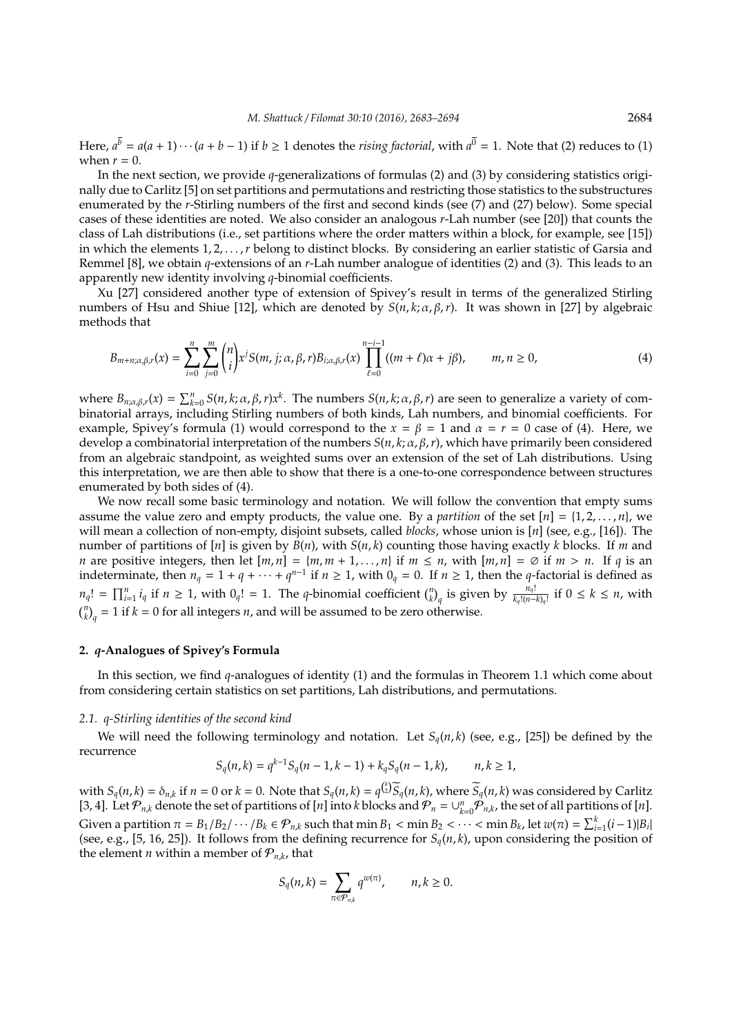Here,  $a^{\overline{b}} = a(a+1)\cdots(a+b-1)$  if  $b \ge 1$  denotes the *rising factorial*, with  $a^{\overline{0}} = 1$ . Note that (2) reduces to (1) when  $r = 0$ .

In the next section, we provide *q*-generalizations of formulas (2) and (3) by considering statistics originally due to Carlitz [5] on set partitions and permutations and restricting those statistics to the substructures enumerated by the *r*-Stirling numbers of the first and second kinds (see (7) and (27) below). Some special cases of these identities are noted. We also consider an analogous *r*-Lah number (see [20]) that counts the class of Lah distributions (i.e., set partitions where the order matters within a block, for example, see [15]) in which the elements 1, 2, ..., *r* belong to distinct blocks. By considering an earlier statistic of Garsia and Remmel [8], we obtain *q*-extensions of an *r*-Lah number analogue of identities (2) and (3). This leads to an apparently new identity involving *q*-binomial coefficients.

Xu [27] considered another type of extension of Spivey's result in terms of the generalized Stirling numbers of Hsu and Shiue [12], which are denoted by  $S(n, k; \alpha, \beta, r)$ . It was shown in [27] by algebraic methods that

$$
B_{m+n;\alpha,\beta,r}(x) = \sum_{i=0}^{n} \sum_{j=0}^{m} {n \choose i} x^{j} S(m, j; \alpha, \beta, r) B_{i; \alpha, \beta, r}(x) \prod_{\ell=0}^{n-i-1} ((m+\ell)\alpha + j\beta), \qquad m, n \ge 0,
$$
 (4)

where  $B_{n;\alpha,\beta,r}(x) = \sum_{k=0}^{n} S(n,k;\alpha,\beta,r)x^k$ . The numbers  $S(n,k;\alpha,\beta,r)$  are seen to generalize a variety of combinatorial arrays, including Stirling numbers of both kinds, Lah numbers, and binomial coefficients. For example, Spivey's formula (1) would correspond to the  $x = \beta = 1$  and  $\alpha = r = 0$  case of (4). Here, we develop a combinatorial interpretation of the numbers *S*(*n*, *k*; α, β,*r*), which have primarily been considered from an algebraic standpoint, as weighted sums over an extension of the set of Lah distributions. Using this interpretation, we are then able to show that there is a one-to-one correspondence between structures enumerated by both sides of (4).

We now recall some basic terminology and notation. We will follow the convention that empty sums assume the value zero and empty products, the value one. By a *partition* of the set  $[n] = \{1, 2, \ldots, n\}$ , we will mean a collection of non-empty, disjoint subsets, called *blocks*, whose union is [*n*] (see, e.g., [16]). The number of partitions of [*n*] is given by *B*(*n*), with *S*(*n*, *k*) counting those having exactly *k* blocks. If *m* and *n* are positive integers, then let  $[m, n] = \{m, m + 1, \ldots, n\}$  if  $m \leq n$ , with  $[m, n] = \emptyset$  if  $m > n$ . If *q* is an indeterminate, then  $n_q = 1 + q + \cdots + q^{n-1}$  if  $n \ge 1$ , with  $0_q = 0$ . If  $n \ge 1$ , then the *q*-factorial is defined as  $n_q! = \prod_{i=1}^n i_q$  if  $n \ge 1$ , with  $0_q! = 1$ . The q-binomial coefficient  $\binom{n}{k}_q$  is given by  $\frac{n_q!}{k_q!(n-k)_q!}$  if  $0 \le k \le n$ , with  ${n \choose k}_q = 1$  if  $k = 0$  for all integers *n*, and will be assumed to be zero otherwise.

#### **2.** *q***-Analogues of Spivey's Formula**

In this section, we find *q*-analogues of identity (1) and the formulas in Theorem 1.1 which come about from considering certain statistics on set partitions, Lah distributions, and permutations.

#### *2.1. q-Stirling identities of the second kind*

We will need the following terminology and notation. Let  $S_q(n, k)$  (see, e.g., [25]) be defined by the recurrence

$$
S_q(n,k) = q^{k-1} S_q(n-1,k-1) + k_q S_q(n-1,k), \qquad n, k \ge 1,
$$

with  $S_q(n, k) = \delta_{n,k}$  if  $n = 0$  or  $k = 0$ . Note that  $S_q(n, k) = q^{\binom{k}{2}} \widetilde{S}_q(n, k)$ , where  $\widetilde{S}_q(n, k)$  was considered by Carlitz [3, 4]. Let  $\mathcal{P}_{n,k}$  denote the set of partitions of [*n*] into *k* blocks and  $\mathcal{P}_n = \cup_{k=0}^n \mathcal{P}_{n,k}$ , the set of all partitions of [*n*]. Given a partition  $\pi = B_1/B_2/\cdots/B_k \in \mathcal{P}_{n,k}$  such that min  $B_1 < \min B_2 < \cdots < \min B_k$ , let  $w(\pi) = \sum_{i=1}^k (i-1)|B_i|$ (see, e.g., [5, 16, 25]). It follows from the defining recurrence for  $S_q(n, k)$ , upon considering the position of the element *n* within a member of  $P_{n,k}$ , that

$$
S_q(n,k) = \sum_{\pi \in \mathcal{P}_{n,k}} q^{w(\pi)}, \qquad n, k \ge 0.
$$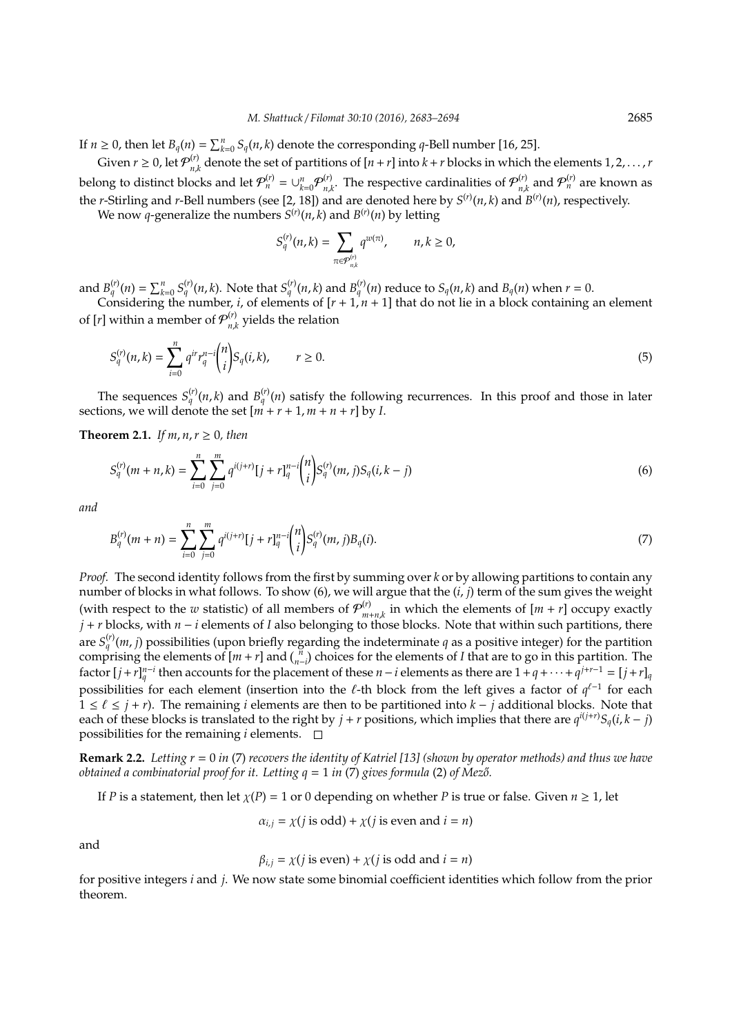If  $n \geq 0$ , then let  $B_q(n) = \sum_{k=0}^n S_q(n,k)$  denote the corresponding *q*-Bell number [16, 25].

Given  $r \geq 0$ , let  $\mathcal{P}_{n}^{(r)}$  $n_{nk}^{(V)}$  denote the set of partitions of  $[n+r]$  into  $k+r$  blocks in which the elements  $1, 2, ..., r$ belong to distinct blocks and let  $\mathcal{P}_n^{(r)} = \cup_{k=0}^n \mathcal{P}_{n,k}^{(r)}$  $\mathcal{P}_{n,k}^{(r)}$ . The respective cardinalities of  $\mathcal{P}_{n,k}^{(r)}$  $p_{n,k}^{(r)}$  and  $\mathcal{P}_n^{(r)}$  are known as the *r*-Stirling and *r*-Bell numbers (see [2, 18]) and are denoted here by *S* (*r*) (*n*, *k*) and *B* (*r*) (*n*), respectively.

We now *q*-generalize the numbers  $S^{(r)}(n,k)$  and  $B^{(r)}(n)$  by letting

$$
S_q^{(r)}(n,k) = \sum_{\pi \in \mathcal{P}_{n,k}^{(r)}} q^{w(\pi)}, \qquad n, k \ge 0,
$$

and  $B_q^{(r)}(n) = \sum_{k=0}^n S_q^{(r)}(n,k)$ . Note that  $S_q^{(r)}(n,k)$  and  $B_q^{(r)}(n)$  reduce to  $S_q(n,k)$  and  $B_q(n)$  when  $r = 0$ .

Considering the number, *i*, of elements of [*r* + 1, *n* + 1] that do not lie in a block containing an element of [*r*] within a member of  $\mathcal{P}_{n}^{(r)}$  $n_{n,k}^{\prime\prime}$  yields the relation

$$
S_q^{(r)}(n,k) = \sum_{i=0}^n q^{ir} r_q^{n-i} \binom{n}{i} S_q(i,k), \qquad r \ge 0.
$$
 (5)

The sequences  $S_q^{(r)}(n,k)$  and  $B_q^{(r)}(n)$  satisfy the following recurrences. In this proof and those in later sections, we will denote the set  $[m + r + 1, m + n + r]$  by *I*.

**Theorem 2.1.** *If m, n, r*  $\geq$  0*, then* 

$$
S_q^{(r)}(m+n,k) = \sum_{i=0}^n \sum_{j=0}^m q^{i(j+r)}[j+r]_q^{n-i} \binom{n}{i} S_q^{(r)}(m,j) S_q(i,k-j) \tag{6}
$$

*and*

$$
B_q^{(r)}(m+n) = \sum_{i=0}^n \sum_{j=0}^m q^{i(j+r)} [j+r]_q^{n-i} {n \choose i} S_q^{(r)}(m,j) B_q(i).
$$
 (7)

*Proof.* The second identity follows from the first by summing over *k* or by allowing partitions to contain any number of blocks in what follows. To show (6), we will argue that the (*i*, *j*) term of the sum gives the weight (with respect to the *w* statistic) of all members of  $\mathcal{P}_{m}^{(r)}$  $\sum_{m+n,k}^{(r)}$  in which the elements of  $[m + r]$  occupy exactly *j* + *r* blocks, with *n* − *i* elements of *I* also belonging to those blocks. Note that within such partitions, there are  $S_q^{(r)}(m, j)$  possibilities (upon briefly regarding the indeterminate *q* as a positive integer) for the partition comprising the elements of  $[m + r]$  and  $\binom{n}{n-i}$  choices for the elements of *I* that are to go in this partition. The factor  $[j + r]_q^{n-i}$  then accounts for the placement of these  $n-i$  elements as there are  $1 + q + \cdots + q^{j+r-1} = [j + r]_q$ possibilities for each element (insertion into the  $\ell$ -th block from the left gives a factor of  $q^{\ell-1}$  for each  $1 \leq \ell \leq j + r$ ). The remaining *i* elements are then to be partitioned into *k* − *j* additional blocks. Note that each of these blocks is translated to the right by  $j + r$  positions, which implies that there are  $q^{i(j+r)}S_q(i, k - j)$ possibilities for the remaining  $i$  elements.  $\Box$ 

**Remark 2.2.** *Letting r* = 0 *in* (7) *recovers the identity of Katriel [13] (shown by operator methods) and thus we have obtained a combinatorial proof for it. Letting*  $q = 1$  *in (7) gives formula (2) of Mező.* 

If *P* is a statement, then let  $\chi(P) = 1$  or 0 depending on whether *P* is true or false. Given  $n \ge 1$ , let

$$
\alpha_{i,j} = \chi(j \text{ is odd}) + \chi(j \text{ is even and } i = n)
$$

and

$$
\beta_{i,j} = \chi(j \text{ is even}) + \chi(j \text{ is odd and } i = n)
$$

for positive integers *i* and *j*. We now state some binomial coefficient identities which follow from the prior theorem.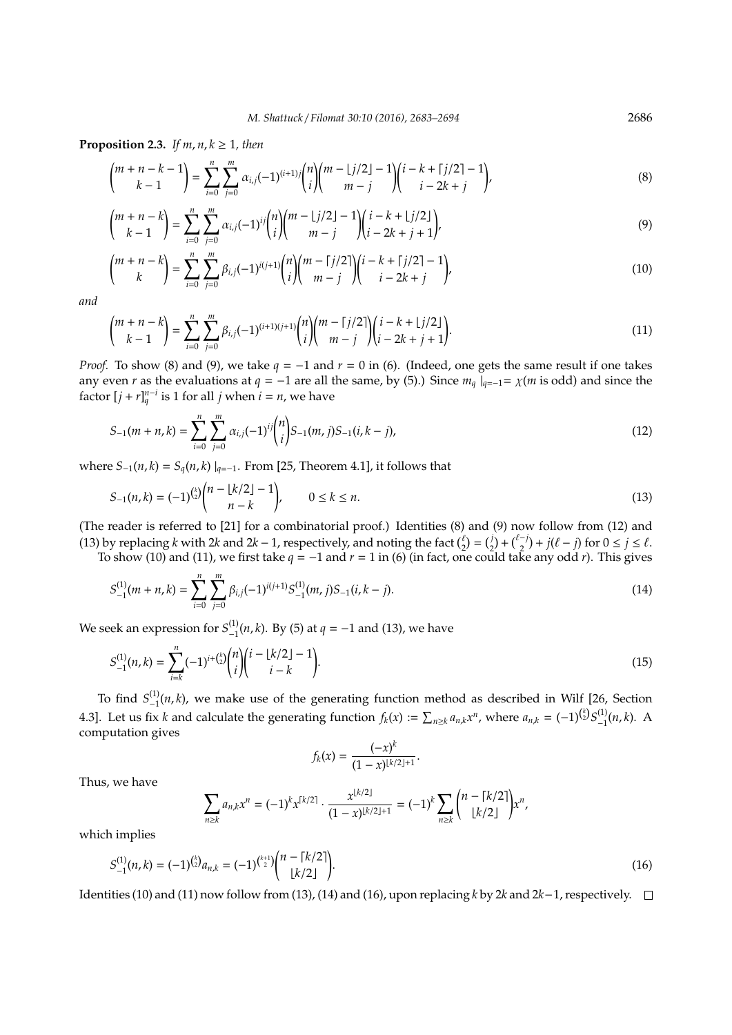**Proposition 2.3.** *If m, n, k*  $\geq$  1*, then* 

$$
\binom{m+n-k-1}{k-1} = \sum_{i=0}^{n} \sum_{j=0}^{m} \alpha_{i,j} (-1)^{(i+1)j} \binom{n}{i} \binom{m-1j/2-1}{m-j} \binom{i-k+\lceil j/2 \rceil-1}{i-2k+j},\tag{8}
$$

$$
\binom{m+n-k}{k-1} = \sum_{i=0}^{n} \sum_{j=0}^{m} \alpha_{i,j} (-1)^{ij} \binom{n}{i} \binom{m-1}{j} \binom{i-k+1}{j-2k+j+1},\tag{9}
$$

$$
\binom{m+n-k}{k} = \sum_{i=0}^{n} \sum_{j=0}^{m} \beta_{i,j} (-1)^{i(j+1)} \binom{n}{i} \binom{m-1}{j} \binom{i-k+1}{i-j} \binom{i-k+j}{j} \tag{10}
$$

*and*

$$
\binom{m+n-k}{k-1} = \sum_{i=0}^{n} \sum_{j=0}^{m} \beta_{i,j} (-1)^{(i+1)(j+1)} \binom{n}{i} \binom{m-1}{m-j} \binom{i-k+1/2}{i-2k+j+1}.
$$
\n(11)

*Proof.* To show (8) and (9), we take  $q = −1$  and  $r = 0$  in (6). (Indeed, one gets the same result if one takes any even *r* as the evaluations at *q* = −1 are all the same, by (5).) Since  $m_q \mid_{q=-1} = \chi(m \text{ is odd})$  and since the factor  $[j + r]_q^{n-i}$  is 1 for all *j* when  $i = n$ , we have

$$
S_{-1}(m+n,k) = \sum_{i=0}^{n} \sum_{j=0}^{m} \alpha_{i,j}(-1)^{ij} {n \choose i} S_{-1}(m,j) S_{-1}(i,k-j),
$$
\n(12)

where  $S_{-1}(n, k) = S_q(n, k) |_{q=-1}$ . From [25, Theorem 4.1], it follows that

$$
S_{-1}(n,k) = (-1)^{{k \choose 2}} {n - \lfloor k/2 \rfloor - 1 \choose n - k}, \qquad 0 \le k \le n.
$$
\n(13)

(The reader is referred to [21] for a combinatorial proof.) Identities (8) and (9) now follow from (12) and (13) by replacing *k* with 2*k* and 2*k* − 1, respectively, and noting the fact  $\binom{\ell}{2} = \binom{j}{2} + \binom{\ell-j}{2} + j(\ell - j)$  for  $0 \le j \le \ell$ .

To show (10) and (11), we first take  $q = -1$  and  $r = 1$  in (6) (in fact, one could take any odd *r*). This gives

$$
S_{-1}^{(1)}(m+n,k) = \sum_{i=0}^{n} \sum_{j=0}^{m} \beta_{i,j}(-1)^{i(j+1)} S_{-1}^{(1)}(m,j) S_{-1}(i,k-j).
$$
 (14)

We seek an expression for  $S_{-1}^{(1)}(n,k)$ . By (5) at  $q = -1$  and (13), we have

$$
S_{-1}^{(1)}(n,k) = \sum_{i=k}^{n} (-1)^{i+\binom{k}{2}} \binom{n}{i} \binom{i-\lfloor k/2 \rfloor - 1}{i-k}.
$$
\n(15)

To find  $S_{-1}^{(1)}(n,k)$ , we make use of the generating function method as described in Wilf [26, Section 4.3]. Let us fix k and calculate the generating function  $f_k(x) := \sum_{n \ge k} a_{n,k} x^n$ , where  $a_{n,k} = (-1)^{{k \choose 2}} S^{(1)}_{-1}(n,k)$ . A computation gives

$$
f_k(x) = \frac{(-x)^k}{(1-x)^{\lfloor k/2 \rfloor + 1}}.
$$

Thus, we have

$$
\sum_{n\geq k} a_{n,k} x^n = (-1)^k x^{\lceil k/2 \rceil} \cdot \frac{x^{\lfloor k/2 \rfloor}}{(1-x)^{\lfloor k/2 \rfloor+1}} = (-1)^k \sum_{n\geq k} {n-\lceil k/2 \rceil \choose \lfloor k/2 \rfloor} x^n,
$$

which implies

$$
S_{-1}^{(1)}(n,k) = (-1)^{\binom{k}{2}} a_{n,k} = (-1)^{\binom{k+1}{2}} \binom{n - \lceil k/2 \rceil}{\lfloor k/2 \rfloor}.
$$
\n(16)

Identities (10) and (11) now follow from (13), (14) and (16), upon replacing *k* by 2*k* and 2*k*−1, respectively.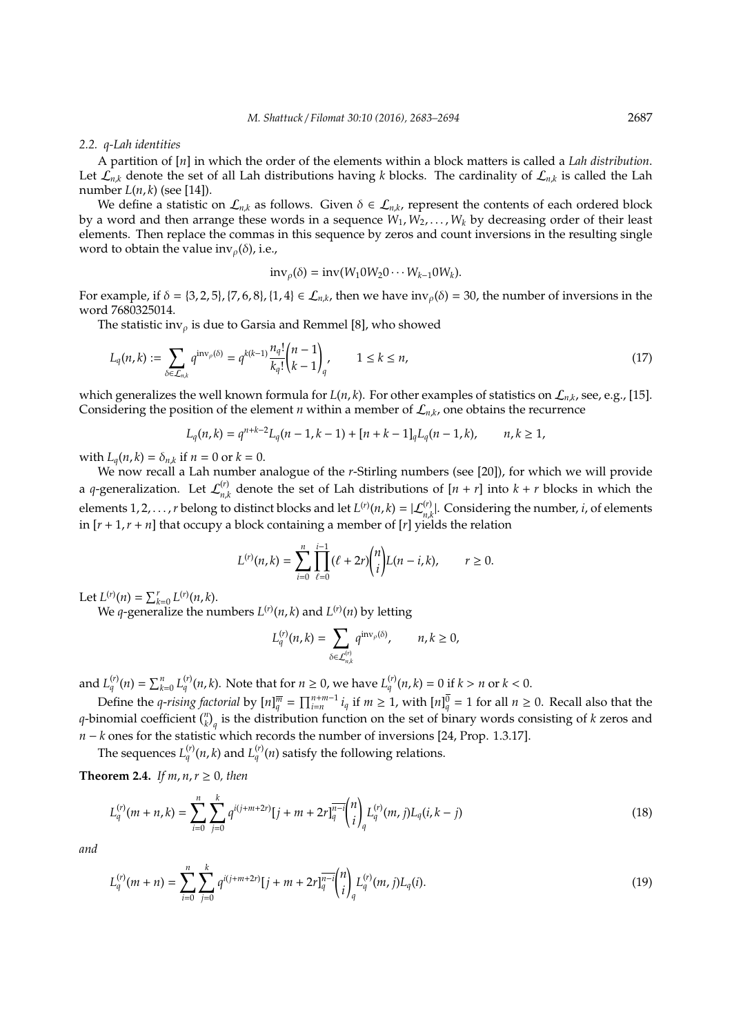#### *2.2. q-Lah identities*

A partition of [*n*] in which the order of the elements within a block matters is called a *Lah distribution*. Let  $\hat{\mathcal{L}_{n,k}}$  denote the set of all Lah distributions having *k* blocks. The cardinality of  $\mathcal{L}_{n,k}$  is called the Lah number *L*(*n*, *k*) (see [14]).

We define a statistic on  $\mathcal{L}_{n,k}$  as follows. Given  $\delta \in \mathcal{L}_{n,k}$ , represent the contents of each ordered block by a word and then arrange these words in a sequence *W*1, *W*2, . . . , *W<sup>k</sup>* by decreasing order of their least elements. Then replace the commas in this sequence by zeros and count inversions in the resulting single word to obtain the value inv<sub> $o$ </sub>( $\delta$ ), i.e.,

$$
inv_{\rho}(\delta) = inv(W_1 0 W_2 0 \cdots W_{k-1} 0 W_k).
$$

For example, if  $\delta = \{3, 2, 5\}$ ,  $\{7, 6, 8\}$ ,  $\{1, 4\} \in \mathcal{L}_{n,k}$ , then we have  $inv_{\rho}(\delta) = 30$ , the number of inversions in the word 7680325014.

The statistic inv<sub> $\rho$ </sub> is due to Garsia and Remmel [8], who showed

$$
L_q(n,k) := \sum_{\delta \in \mathcal{L}_{n,k}} q^{\text{inv}_\rho(\delta)} = q^{k(k-1)} \frac{n_q!}{k_q!} {n-1 \choose k-1}_q, \qquad 1 \le k \le n,
$$
\n(17)

which generalizes the well known formula for  $L(n, k)$ . For other examples of statistics on  $\mathcal{L}_{n,k}$ , see, e.g., [15]. Considering the position of the element *n* within a member of  $\mathcal{L}_{n,k}$ , one obtains the recurrence

$$
L_q(n,k) = q^{n+k-2}L_q(n-1,k-1) + [n+k-1]_qL_q(n-1,k), \qquad n,k \ge 1,
$$

with  $L_q(n, k) = \delta_{n,k}$  if  $n = 0$  or  $k = 0$ .

We now recall a Lah number analogue of the *r*-Stirling numbers (see [20]), for which we will provide a *q*-generalization. Let  $\mathcal{L}_{n}^{(r)}$  $n_k$ <sup>(*i*</sup>) denote the set of Lah distributions of  $[n + r]$  into  $k + r$  blocks in which the elements 1, 2, . . . , *r* belong to distinct blocks and let  $L^{(r)}(n,k) = |\mathcal{L}_{n,k}^{(r)}|$ . Considering the number, *i*, of elements in  $[r+1, r+n]$  that occupy a block containing a member of  $[r]$  yields the relation

$$
L^{(r)}(n,k) = \sum_{i=0}^{n} \prod_{\ell=0}^{i-1} (\ell + 2r) {n \choose i} L(n-i,k), \qquad r \ge 0.
$$

Let  $L^{(r)}(n) = \sum_{k=0}^{r} L^{(r)}(n, k)$ .

We *q*-generalize the numbers  $L^{(r)}(n,k)$  and  $L^{(r)}(n)$  by letting

$$
L_q^{(r)}(n,k)=\sum_{\delta\in\mathcal{L}_{n,k}^{(r)}}q^{\operatorname{inv}_\rho(\delta)},\qquad n,k\geq 0,
$$

and  $L_q^{(r)}(n) = \sum_{k=0}^n L_q^{(r)}(n, k)$ . Note that for  $n \ge 0$ , we have  $L_q^{(r)}(n, k) = 0$  if  $k > n$  or  $k < 0$ .

Define the *q-rising factorial* by  $[n]_q^{\overline{m}} = \prod_{i=n}^{n+m-1} i_q$  if  $m \ge 1$ , with  $[n]_q^{\overline{0}} = 1$  for all  $n \ge 0$ . Recall also that the *q*-binomial coefficient  $\binom{n}{k}_q$  is the distribution function on the set of binary words consisting of *k* zeros and *n* − *k* ones for the statistic which records the number of inversions [24, Prop. 1.3.17].

The sequences  $L_q^{(r)}(n,k)$  and  $L_q^{(r)}(n)$  satisfy the following relations.

**Theorem 2.4.** *If m, n, r*  $\geq$  0*, then* 

$$
L_q^{(r)}(m+n,k) = \sum_{i=0}^n \sum_{j=0}^k q^{i(j+m+2r)} [j+m+2r]_q^{\overline{n-i}} {n \choose i}_q L_q^{(r)}(m,j) L_q(i,k-j)
$$
(18)

*and*

$$
L_q^{(r)}(m+n) = \sum_{i=0}^n \sum_{j=0}^k q^{i(j+m+2r)} [j+m+2r]_q^{\overline{n-i}} {n \choose i}_q L_q^{(r)}(m,j)L_q(i).
$$
 (19)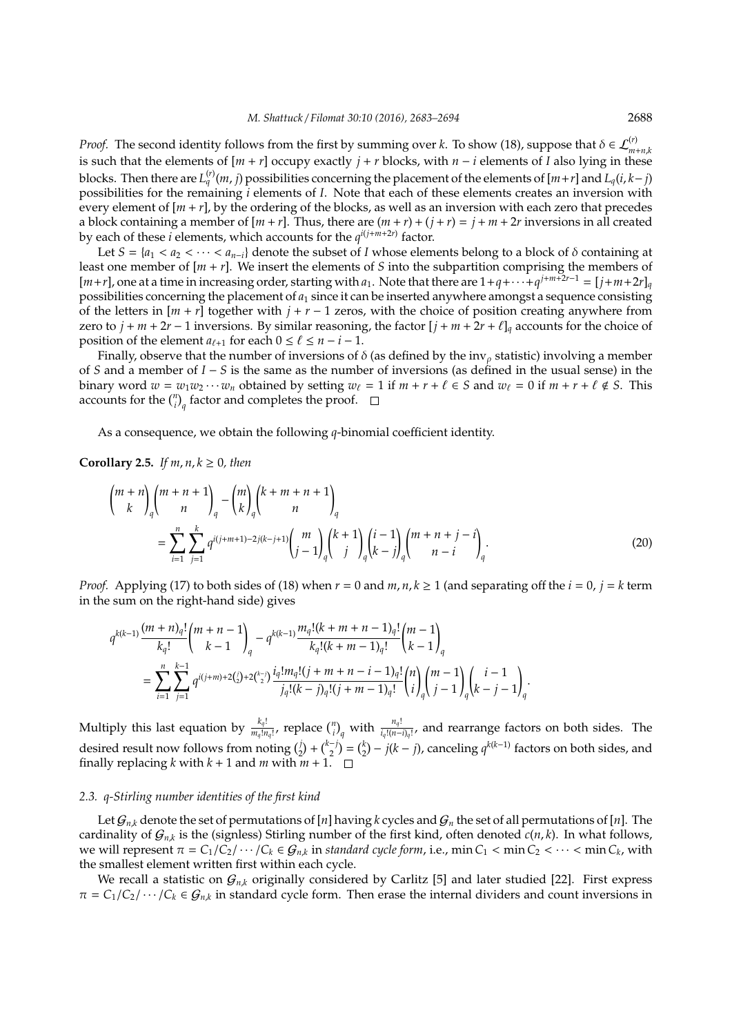*Proof.* The second identity follows from the first by summing over *k*. To show (18), suppose that  $\delta \in \mathcal{L}_{m+n,k}^{(r)}$ is such that the elements of  $[m + r]$  occupy exactly  $j + r$  blocks, with  $n - i$  elements of  $I$  also lying in these blocks. Then there are  $L_q^{(r)}(m, j)$  possibilities concerning the placement of the elements of  $[m+r]$  and  $L_q(i, k-j)$ possibilities for the remaining *i* elements of *I*. Note that each of these elements creates an inversion with every element of [*m* + *r*], by the ordering of the blocks, as well as an inversion with each zero that precedes a block containing a member of  $[m + r]$ . Thus, there are  $(m + r) + (j + r) = j + m + 2r$  inversions in all created by each of these *i* elements, which accounts for the  $q^{i(j+m+2r)}$  factor.

Let  $S = \{a_1 < a_2 < \cdots < a_{n-i}\}$  denote the subset of *I* whose elements belong to a block of  $\delta$  containing at least one member of [*m* + *r*]. We insert the elements of *S* into the subpartition comprising the members of  $[m+r]$ , one at a time in increasing order, starting with *a*<sub>1</sub>. Note that there are  $1+q+\cdots+q^{j+m+2r-1}=[j+m+2r]_q$ possibilities concerning the placement of *a*<sup>1</sup> since it can be inserted anywhere amongst a sequence consisting of the letters in  $[m + r]$  together with  $j + r - 1$  zeros, with the choice of position creating anywhere from zero to  $j + m + 2r - 1$  inversions. By similar reasoning, the factor  $[j + m + 2r + \ell]_q$  accounts for the choice of position of the element  $a_{\ell+1}$  for each  $0 \leq \ell \leq n - i - 1$ .

Finally, observe that the number of inversions of  $\delta$  (as defined by the inv<sub>ρ</sub> statistic) involving a member of *S* and a member of *I* − *S* is the same as the number of inversions (as defined in the usual sense) in the binary word  $w = w_1w_2 \cdots w_n$  obtained by setting  $w_\ell = 1$  if  $m + r + \ell \in S$  and  $w_\ell = 0$  if  $m + r + \ell \notin S$ . This accounts for the  $\binom{n}{i}_q$  factor and completes the proof.

As a consequence, we obtain the following *q*-binomial coefficient identity.

**Corollary 2.5.** *If m, n, k*  $\geq$  0*, then* 

$$
\binom{m+n}{k}_{q}\binom{m+n+1}{n}_{q} - \binom{m}{k}_{q}\binom{k+m+n+1}{n}_{q}
$$
\n
$$
= \sum_{i=1}^{n} \sum_{j=1}^{k} q^{i(j+m+1)-2j(k-j+1)} \binom{m}{j-1}_{q}\binom{k+1}{j}_{q}\binom{i-1}{k-j}_{q}\binom{m+n+j-i}{n-i}_{q}.
$$
\n(20)

*Proof.* Applying (17) to both sides of (18) when  $r = 0$  and  $m, n, k \ge 1$  (and separating off the  $i = 0, j = k$  term in the sum on the right-hand side) gives

$$
\begin{split} q^{k(k-1)}\frac{(m+n)_q!}{k_q!}\binom{m+n-1}{k-1}_q - q^{k(k-1)}\frac{m_q! (k+m+n-1)_q!}{k_q! (k+m-1)_q!}\binom{m-1}{k-1}_q\\ = \sum_{i=1}^n \sum_{j=1}^{k-1} q^{i(j+m)+2\binom{i}{2}+2\binom{k-j}{2}} \frac{i_q! m_q! (j+m+n-i-1)_q!}{j_q! (k-j)_q! (j+m-1)_q!} \binom{n}{i}_q \binom{m-1}{j-1}_q \binom{i-1}{k-j-1}_q. \end{split}
$$

Multiply this last equation by  $\frac{k_q!}{m_q!n_q!}$ , replace  $\binom{n}{i}_q$  with  $\frac{n_q!}{i_q!(n-i)_q!}$ , and rearrange factors on both sides. The desired result now follows from noting  $\binom{j}{2} + \binom{k-j}{2} = \binom{k}{2} - j(k-j)$ , canceling  $q^{k(k-1)}$  factors on both sides, and finally replacing *k* with  $k + 1$  and *m* with  $m + 1$ .  $\Box$ 

#### *2.3. q-Stirling number identities of the first kind*

Let  $G_{n,k}$  denote the set of permutations of [*n*] having *k* cycles and  $G_n$  the set of all permutations of [*n*]. The cardinality of  $G_{n,k}$  is the (signless) Stirling number of the first kind, often denoted  $c(n, k)$ . In what follows, we will represent  $\pi = C_1/C_2/\cdots/C_k \in \mathcal{G}_{n,k}$  in *standard cycle form*, i.e.,  $\min C_1 < \min C_2 < \cdots < \min C_k$ , with the smallest element written first within each cycle.

We recall a statistic on  $G_{n,k}$  originally considered by Carlitz [5] and later studied [22]. First express  $\pi = C_1/C_2/\cdots/C_k \in \mathcal{G}_{n,k}$  in standard cycle form. Then erase the internal dividers and count inversions in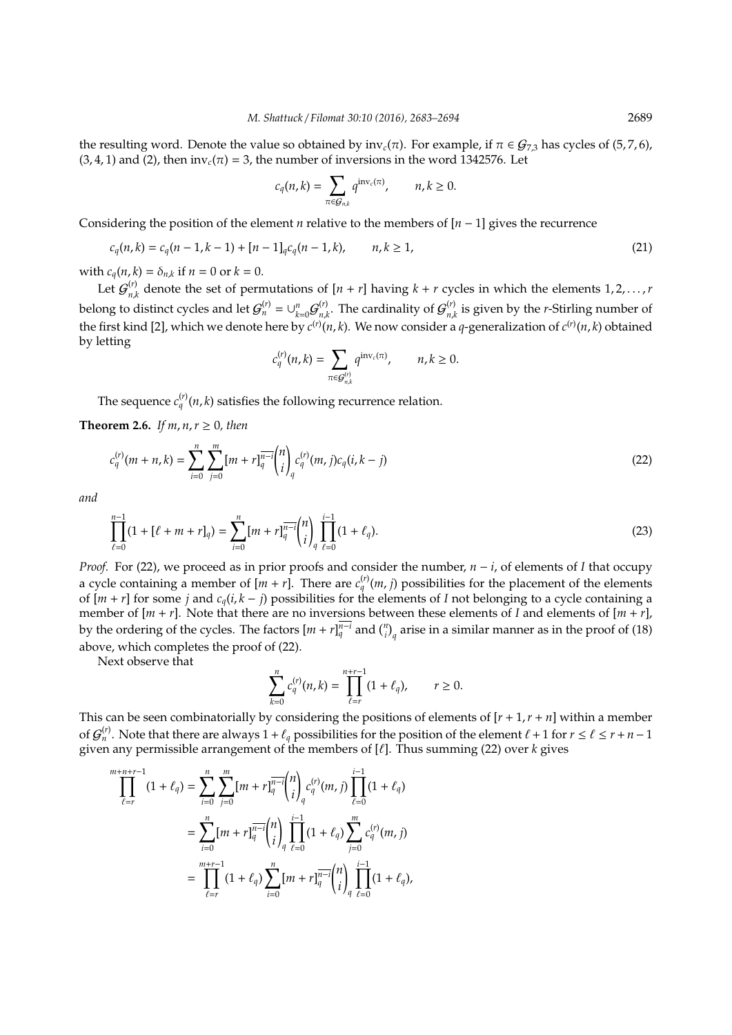the resulting word. Denote the value so obtained by  $inv_c(\pi)$ . For example, if  $\pi \in \mathcal{G}_{7,3}$  has cycles of (5,7,6),  $(3, 4, 1)$  and  $(2)$ , then  $inv_c(\pi) = 3$ , the number of inversions in the word 1342576. Let

$$
c_q(n,k) = \sum_{\pi \in \mathcal{G}_{n,k}} q^{\mathrm{inv}_c(\pi)}, \qquad n, k \geq 0.
$$

Considering the position of the element *n* relative to the members of  $[n-1]$  gives the recurrence

$$
c_q(n,k) = c_q(n-1,k-1) + [n-1]_q c_q(n-1,k), \qquad n, k \ge 1,
$$
\n(21)

with  $c_q(n, k) = \delta_{n,k}$  if  $n = 0$  or  $k = 0$ .

Let  $\mathcal{G}_{n}^{(r)}$  $n_k^{(r)}$  denote the set of permutations of  $[n + r]$  having  $k + r$  cycles in which the elements  $1, 2, ..., r$ belong to distinct cycles and let  $\mathcal{G}_n^{(r)} = \cup_{k=0}^n \mathcal{G}_{n,k}^{(r)}$  $\mathcal{G}_{n,k}^{(r)}$ . The cardinality of  $\mathcal{G}_{n,k}^{(r)}$  $n_{n,k}^{(V)}$  is given by the *r*-Stirling number of the first kind [2], which we denote here by  $c^{(r)}(n,k)$ . We now consider a *q*-generalization of  $c^{(r)}(n,k)$  obtained by letting

$$
c_q^{(r)}(n,k)=\sum_{\pi\in\mathcal{G}_{n,k}^{(r)}}q^{\textrm{inv}_c(\pi)},\qquad n,k\geq 0.
$$

The sequence  $c_q^{(r)}(n,k)$  satisfies the following recurrence relation.

**Theorem 2.6.** *If m, n, r*  $\geq$  0*, then* 

$$
c_q^{(r)}(m+n,k) = \sum_{i=0}^n \sum_{j=0}^m [m+r]_q^{\overline{n-i}} \binom{n}{i}_q c_q^{(r)}(m,j) c_q(i,k-j)
$$
\n(22)

*and*

$$
\prod_{\ell=0}^{n-1} (1 + [\ell + m + r]_q) = \sum_{i=0}^{n} [m + r]_q^{\overline{n-i}} {n \choose i}_q \prod_{\ell=0}^{i-1} (1 + \ell_q). \tag{23}
$$

*Proof.* For (22), we proceed as in prior proofs and consider the number, *n* − *i*, of elements of *I* that occupy a cycle containing a member of  $[m + r]$ . There are  $c_q^{(r)}(m, j)$  possibilities for the placement of the elements of  $[m + r]$  for some *j* and  $c_q(i, k - j)$  possibilities for the elements of *I* not belonging to a cycle containing a member of  $[m + r]$ . Note that there are no inversions between these elements of *I* and elements of  $[m + r]$ , by the ordering of the cycles. The factors  $[m + r]_q^{\overline{n-i}}$  and  $\binom{n}{i}_q$  arise in a similar manner as in the proof of (18) above, which completes the proof of (22).

Next observe that

$$
\sum_{k=0}^n c_q^{(r)}(n,k) = \prod_{\ell=r}^{n+r-1} (1+\ell_q), \qquad r \ge 0.
$$

This can be seen combinatorially by considering the positions of elements of  $[r + 1, r + n]$  within a member of  $G_n^{(r)}$ . Note that there are always  $1+\ell_q$  possibilities for the position of the element  $\ell+1$  for  $r \leq \ell \leq r+n-1$ given any permissible arrangement of the members of  $[\ell]$ . Thus summing (22) over  $k$  gives

$$
\prod_{\ell=r}^{m+n+r-1} (1+\ell_q) = \sum_{i=0}^n \sum_{j=0}^m [m+r]_q^{\overline{n-i}} {n \choose i}_q c_q^{(r)}(m,j) \prod_{\ell=0}^{i-1} (1+\ell_q)
$$
  

$$
= \sum_{i=0}^n [m+r]_q^{\overline{n-i}} {n \choose i}_q \prod_{\ell=0}^{i-1} (1+\ell_q) \sum_{j=0}^m c_q^{(r)}(m,j)
$$
  

$$
= \prod_{\ell=r}^{m+r-1} (1+\ell_q) \sum_{i=0}^n [m+r]_q^{\overline{n-i}} {n \choose i}_q \prod_{\ell=0}^{i-1} (1+\ell_q),
$$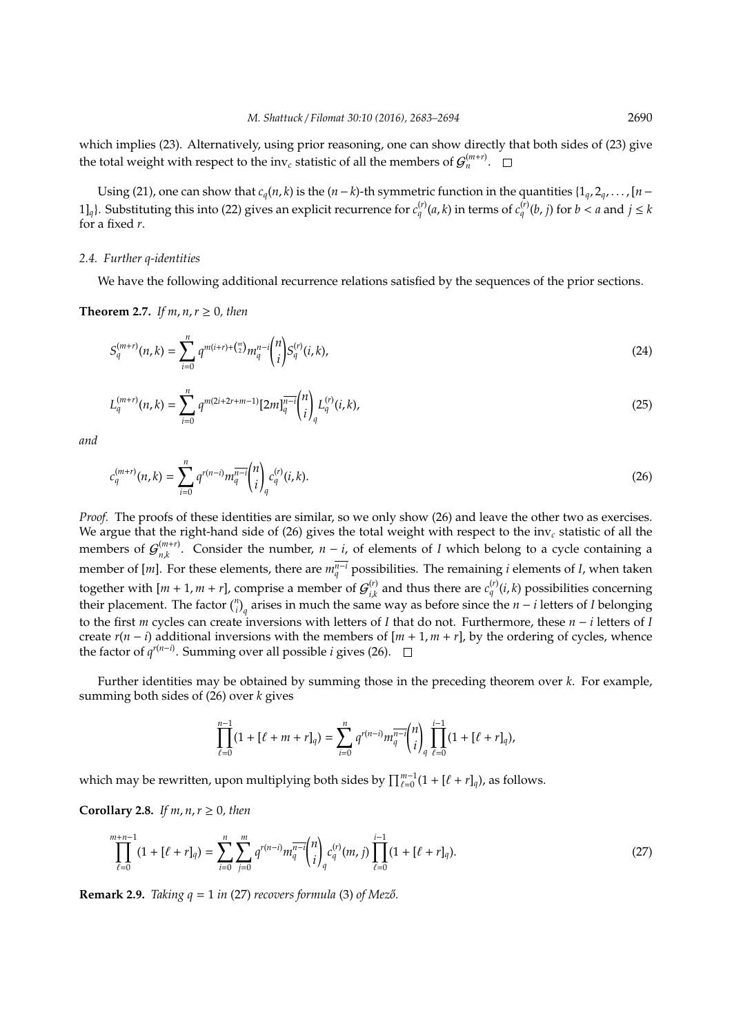which implies (23). Alternatively, using prior reasoning, one can show directly that both sides of (23) give the total weight with respect to the inv<sub>c</sub> statistic of all the members of  $\mathcal{G}_n^{(m+r)}$ .

Using (21), one can show that  $c_q(n, k)$  is the  $(n - k)$ -th symmetric function in the quantities  $\{1_q, 2_q, \ldots, [n - k]$ 1]<sub>*q*</sub>}. Substituting this into (22) gives an explicit recurrence for  $c_q^{(r)}(a, k)$  in terms of  $c_q^{(r)}(b, j)$  for  $b < a$  and  $j \le k$ for a fixed *r*.

#### *2.4. Further q-identities*

We have the following additional recurrence relations satisfied by the sequences of the prior sections.

### **Theorem 2.7.** *If m, n, r*  $\geq$  0*, then*

$$
S_q^{(m+r)}(n,k) = \sum_{i=0}^n q^{m(i+r)+\binom{m}{2}} m_q^{n-i} \binom{n}{i} S_q^{(r)}(i,k),\tag{24}
$$

$$
L_q^{(m+r)}(n,k) = \sum_{i=0}^n q^{m(2i+2r+m-1)} [2m]_q^{\overline{n-i}} \binom{n}{i}_q L_q^{(r)}(i,k), \tag{25}
$$

*and*

$$
c_q^{(m+r)}(n,k) = \sum_{i=0}^n q^{r(n-i)} m_q^{\overline{n-i}} \binom{n}{i}_q c_q^{(r)}(i,k).
$$
 (26)

*Proof.* The proofs of these identities are similar, so we only show (26) and leave the other two as exercises. We argue that the right-hand side of (26) gives the total weight with respect to the inv*<sup>c</sup>* statistic of all the members of  $\mathcal{G}^{(m+r)}_{n,k}$  $\binom{(m+r)}{n,k}$ . Consider the number,  $n-i$ , of elements of *I* which belong to a cycle containing a member of [*m*]. For these elements, there are  $m_q^{\overline{n-1}}$  possibilities. The remaining *i* elements of *I*, when taken together with  $[m + 1, m + r]$ , comprise a member of  $G_i^{(r)}$  $\sum_{i,k}^{(r)}$  and thus there are  $c_q^{(r)}(i,k)$  possibilities concerning their placement. The factor  $\binom{n}{i}_q$  arises in much the same way as before since the *n* − *i* letters of *I* belonging to the first *m* cycles can create inversions with letters of *I* that do not. Furthermore, these *n* − *i* letters of *I* create  $r(n - i)$  additional inversions with the members of  $[m + 1, m + r]$ , by the ordering of cycles, whence the factor of  $q^{r(n-i)}$ . Summing over all possible *i* gives (26).

Further identities may be obtained by summing those in the preceding theorem over *k*. For example, summing both sides of (26) over *k* gives

$$
\prod_{\ell=0}^{n-1} (1 + [\ell+m+r]_q) = \sum_{i=0}^{n} q^{r(n-i)} m_q^{\overline{n-i}} {n \choose i}_q \prod_{\ell=0}^{i-1} (1 + [\ell+r]_q),
$$

which may be rewritten, upon multiplying both sides by  $\prod_{\ell=0}^{m-1}(1 + [\ell + r]_q)$ , as follows.

### **Corollary 2.8.** *If m, n, r*  $\geq$  0*, then*

$$
\prod_{\ell=0}^{m+n-1} (1 + [\ell + r]_q) = \sum_{i=0}^{n} \sum_{j=0}^{m} q^{r(n-i)} m_q^{\overline{n-i}} {n \choose i}_q c_q^{(r)}(m, j) \prod_{\ell=0}^{i-1} (1 + [\ell + r]_q).
$$
\n(27)

**Remark 2.9.** *Taking*  $q = 1$  *in (27) recovers formula* (3) *of Mező.*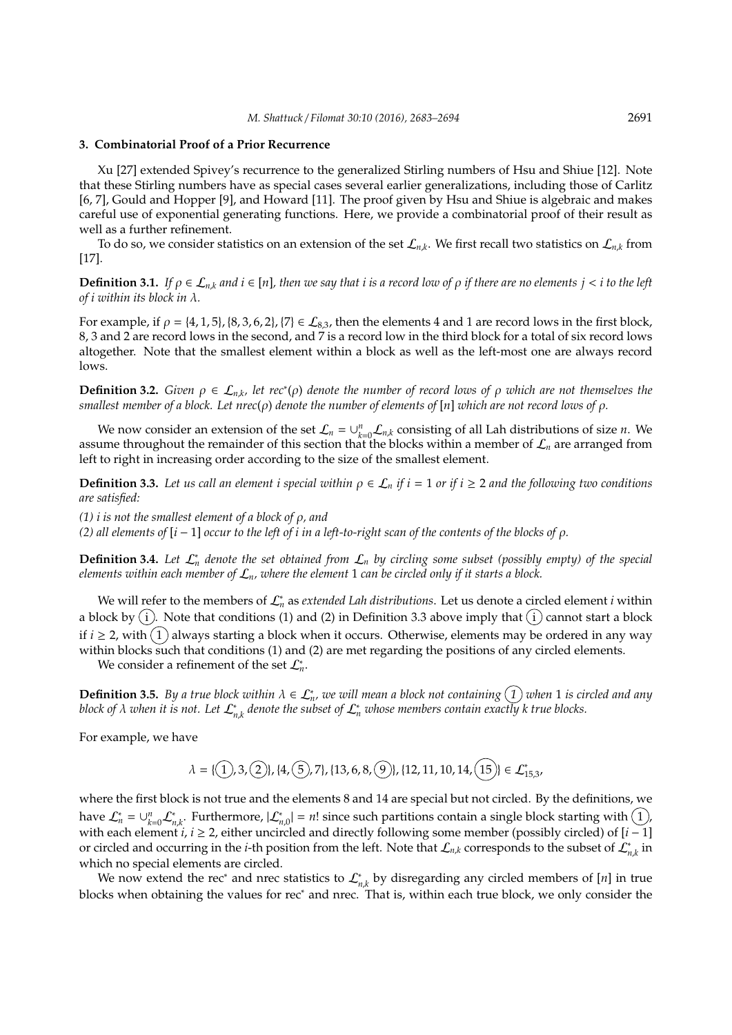# **3. Combinatorial Proof of a Prior Recurrence**

Xu [27] extended Spivey's recurrence to the generalized Stirling numbers of Hsu and Shiue [12]. Note that these Stirling numbers have as special cases several earlier generalizations, including those of Carlitz [6, 7], Gould and Hopper [9], and Howard [11]. The proof given by Hsu and Shiue is algebraic and makes careful use of exponential generating functions. Here, we provide a combinatorial proof of their result as well as a further refinement.

To do so, we consider statistics on an extension of the set  $\mathcal{L}_{n,k}$ . We first recall two statistics on  $\mathcal{L}_{n,k}$  from [17].

**Definition 3.1.** *If*  $\rho \in \mathcal{L}_{n,k}$  *and*  $i \in [n]$ *, then we say that*  $i$  *is a record low of*  $\rho$  *if there are no elements*  $j < i$  *to the left of i within its block in* λ*.*

For example, if  $\rho = \{4, 1, 5\}, \{8, 3, 6, 2\}, \{7\} \in \mathcal{L}_{8,3}$ , then the elements 4 and 1 are record lows in the first block, 8, 3 and 2 are record lows in the second, and 7 is a record low in the third block for a total of six record lows altogether. Note that the smallest element within a block as well as the left-most one are always record lows.

**Definition 3.2.** *Given*  $\rho \in L_{n,k}$ , let rec<sup>\*</sup>( $\rho$ ) *denote the number of record lows of*  $\rho$  *which are not themselves the smallest member of a block. Let nrec*(ρ) *denote the number of elements of* [*n*] *which are not record lows of* ρ*.*

We now consider an extension of the set  $\mathcal{L}_n = \bigcup_{k=0}^n \mathcal{L}_{n,k}$  consisting of all Lah distributions of size *n*. We assume throughout the remainder of this section that the blocks within a member of  $\mathcal{L}_n$  are arranged from left to right in increasing order according to the size of the smallest element.

**Definition 3.3.** Let us call an element i special within  $\rho \in \mathcal{L}_n$  if  $i = 1$  or if  $i \geq 2$  and the following two conditions *are satisfied:*

*(1) i is not the smallest element of a block of* ρ*, and*

*(2) all elements of* [*i* − 1] *occur to the left of i in a left-to-right scan of the contents of the blocks of* ρ*.*

**Definition 3.4.** *Let* L<sup>∗</sup> *<sup>n</sup> denote the set obtained from* <sup>L</sup>*<sup>n</sup> by circling some subset (possibly empty) of the special elements within each member of* L*n, where the element* 1 *can be circled only if it starts a block.*

We will refer to the members of L<sup>∗</sup> *<sup>n</sup>* as *extended Lah distributions*. Let us denote a circled element *i* within a block by  $(i)$ . Note that conditions (1) and (2) in Definition 3.3 above imply that  $(i)$  cannot start a block if  $i \ge 2$ , with  $(1)$  always starting a block when it occurs. Otherwise, elements may be ordered in any way within blocks such that conditions (1) and (2) are met regarding the positions of any circled elements.

We consider a refinement of the set  $\mathcal{L}_n^*$ .

 $\bf{Definition 3.5.}$  By a true block within  $\lambda \in L_n^*$ , we will mean a block not containing  $\widehat{(1)}$  when 1 is circled and any *block of*  $\lambda$  when it is not. Let  $\mathcal{L}_{n,k}^*$  denote the subset of  $\mathcal{L}_n^*$  whose members contain exactly k true blocks.

For example, we have

$$
\lambda = \{ (1), 3, (2) \}, \{4, (5), 7\}, \{13, 6, 8, (9) \}, \{12, 11, 10, 14, (15) \} \in \mathcal{L}_{15,3}^*,
$$

where the first block is not true and the elements 8 and 14 are special but not circled. By the definitions, we have  $\mathcal{L}_n^* = \cup_{k=0}^n \mathcal{L}_{n,k}^*$ . Furthermore,  $|\mathcal{L}_{n,0}^*| = n!$  since such partitions contain a single block starting with  $(1)$ , with each element *i*, *i* ≥ 2, either uncircled and directly following some member (possibly circled) of [*i* − 1] or circled and occurring in the *i*-th position from the left. Note that  $\mathcal{L}_{n,k}$  corresponds to the subset of  $\mathcal{L}_{n,k}^*$  in which no special elements are circled.

We now extend the rec<sup>∗</sup> and nrec statistics to  $\mathcal{L}_{n,k}^*$  by disregarding any circled members of [*n*] in true blocks when obtaining the values for rec<sup>∗</sup> and nrec. That is, within each true block, we only consider the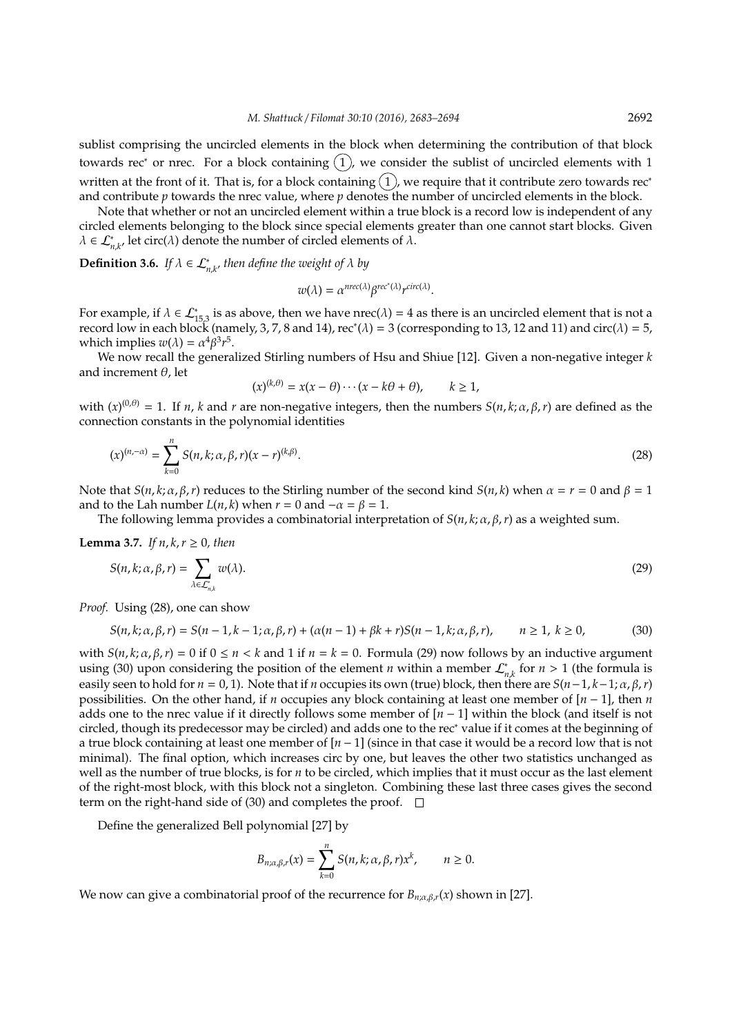sublist comprising the uncircled elements in the block when determining the contribution of that block towards rec<sup>∗</sup> or nrec. For a block containing  $(1)$ , we consider the sublist of uncircled elements with 1 written at the front of it. That is, for a block containing  $(1)$ , we require that it contribute zero towards rec<sup>∗</sup> and contribute *p* towards the nrec value, where *p* denotes the number of uncircled elements in the block.

Note that whether or not an uncircled element within a true block is a record low is independent of any circled elements belonging to the block since special elements greater than one cannot start blocks. Given  $\lambda \in \mathcal{L}_{n,k'}^*$  let circ $(\lambda)$  denote the number of circled elements of  $\lambda$ .

**Definition 3.6.** *If*  $\lambda \in \mathcal{L}_{n,k'}^*$  then define the weight of  $\lambda$  by

$$
w(\lambda) = \alpha^{nrec(\lambda)} \beta^{rec^*(\lambda)} r^{circ(\lambda)}.
$$

For example, if  $\lambda \in \mathcal{L}_{15,3}^*$  is as above, then we have nrec( $\lambda$ ) = 4 as there is an uncircled element that is not a record low in each block (namely, 3, 7, 8 and 14), rec\*( $\lambda$ ) = 3 (corresponding to 13, 12 and 11) and circ( $\lambda$ ) = 5, which implies  $w(\lambda) = \alpha^4 \beta^3 r^5$ .

We now recall the generalized Stirling numbers of Hsu and Shiue [12]. Given a non-negative integer *k* and increment  $\theta$ , let

$$
(x)^{(k,\theta)} = x(x-\theta)\cdots(x-k\theta+\theta), \qquad k \ge 1,
$$

with  $(x)^{(0,\theta)} = 1$ . If *n*, *k* and *r* are non-negative integers, then the numbers  $S(n, k; \alpha, \beta, r)$  are defined as the connection constants in the polynomial identities

$$
(x)^{(n,-\alpha)} = \sum_{k=0}^{n} S(n,k;\alpha,\beta,r)(x-r)^{(k,\beta)}.
$$
 (28)

Note that *S*(*n*, *k*; α, β, *r*) reduces to the Stirling number of the second kind *S*(*n*, *k*) when  $α = r = 0$  and  $β = 1$ and to the Lah number  $L(n, k)$  when  $r = 0$  and  $-\alpha = \beta = 1$ .

The following lemma provides a combinatorial interpretation of  $S(n, k; \alpha, \beta, r)$  as a weighted sum.

**Lemma 3.7.** *If n, k, r*  $\geq$  0*, then* 

$$
S(n,k;\alpha,\beta,r)=\sum_{\lambda\in\mathcal{L}_{n,k}^*}w(\lambda).
$$
 (29)

*Proof.* Using (28), one can show

$$
S(n, k; \alpha, \beta, r) = S(n - 1, k - 1; \alpha, \beta, r) + (\alpha(n - 1) + \beta k + r)S(n - 1, k; \alpha, \beta, r), \qquad n \ge 1, k \ge 0,
$$
 (30)

with  $S(n, k; \alpha, \beta, r) = 0$  if  $0 \le n < k$  and 1 if  $n = k = 0$ . Formula (29) now follows by an inductive argument using (30) upon considering the position of the element *n* within a member  $\mathcal{L}_{n,k}^*$  for  $n > 1$  (the formula is easily seen to hold for  $n = 0, 1$ ). Note that if *n* occupies its own (true) block, then there are  $S(n-1, k-1; \alpha, \beta, r)$ possibilities. On the other hand, if *n* occupies any block containing at least one member of [*n* − 1], then *n* adds one to the nrec value if it directly follows some member of [*n* − 1] within the block (and itself is not circled, though its predecessor may be circled) and adds one to the rec<sup>∗</sup> value if it comes at the beginning of a true block containing at least one member of [*n* − 1] (since in that case it would be a record low that is not minimal). The final option, which increases circ by one, but leaves the other two statistics unchanged as well as the number of true blocks, is for *n* to be circled, which implies that it must occur as the last element of the right-most block, with this block not a singleton. Combining these last three cases gives the second term on the right-hand side of (30) and completes the proof.  $\square$ 

Define the generalized Bell polynomial [27] by

$$
B_{n;\alpha,\beta,r}(x)=\sum_{k=0}^n S(n,k;\alpha,\beta,r)x^k, \qquad n\geq 0.
$$

We now can give a combinatorial proof of the recurrence for  $B_{n;\alpha,\beta,r}(x)$  shown in [27].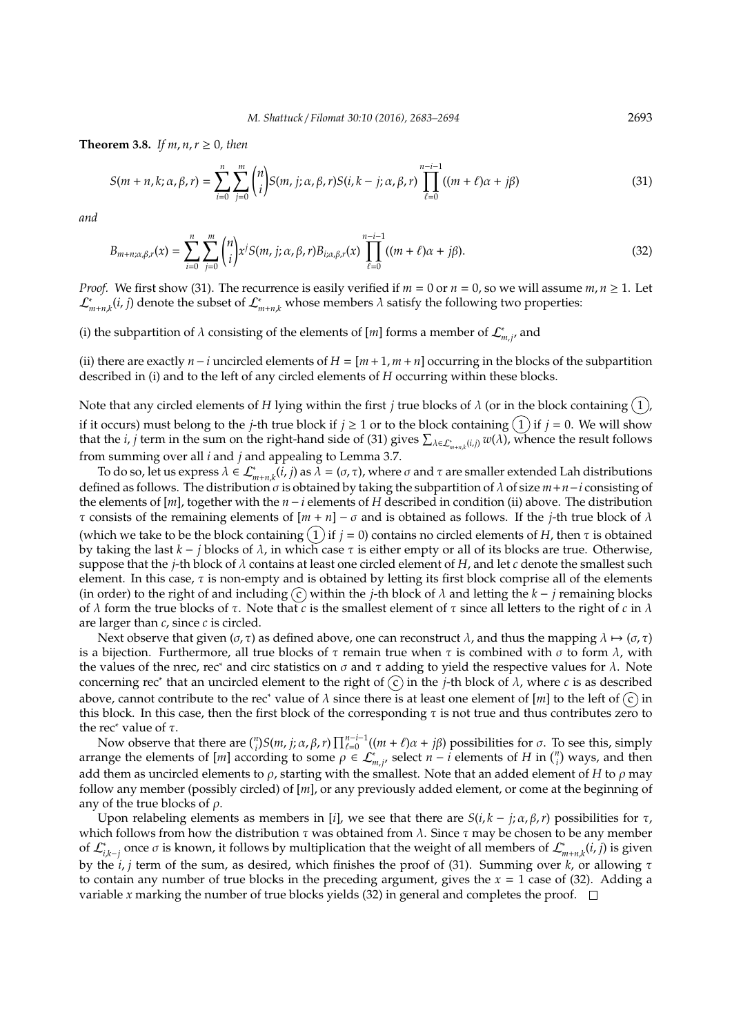**Theorem 3.8.** *If m, n, r*  $> 0$ *, then* 

$$
S(m+n,k;\alpha,\beta,r) = \sum_{i=0}^{n} \sum_{j=0}^{m} {n \choose i} S(m,j;\alpha,\beta,r) S(i,k-j;\alpha,\beta,r) \prod_{\ell=0}^{n-i-1} ((m+\ell)\alpha + j\beta)
$$
(31)

*and*

$$
B_{m+n;\alpha,\beta,r}(x) = \sum_{i=0}^{n} \sum_{j=0}^{m} {n \choose i} x^{j} S(m, j; \alpha, \beta, r) B_{i; \alpha, \beta,r}(x) \prod_{\ell=0}^{n-i-1} ((m+\ell)\alpha + j\beta).
$$
 (32)

*Proof.* We first show (31). The recurrence is easily verified if  $m = 0$  or  $n = 0$ , so we will assume  $m, n \ge 1$ . Let  $\mathcal{L}^*_{m+n,k}(i,j)$  denote the subset of  $\mathcal{L}^*_{m+n,k}$  whose members  $\lambda$  satisfy the following two properties:

(i) the subpartition of  $\lambda$  consisting of the elements of  $[m]$  forms a member of  $\mathcal{L}_{m,j'}^*$ , and

(ii) there are exactly *n*−*i* uncircled elements of *H* = [*m* +1, *m* +*n*] occurring in the blocks of the subpartition described in (i) and to the left of any circled elements of *H* occurring within these blocks.

Note that any circled elements of *H* lying within the first *j* true blocks of  $\lambda$  (or in the block containing  $(1)$ ) if it occurs) must belong to the *j*-th true block if  $j \ge 1$  or to the block containing  $(1)$  if  $j = 0$ . We will show that the *i*, *j* term in the sum on the right-hand side of (31) gives  $\sum_{\lambda \in \mathcal{L}^*_{m+n,k}(i,j)} w(\lambda)$ , whence the result follows from summing over all *i* and *j* and appealing to Lemma 3.7.

To do so, let us express  $λ ∈ L^*_{m+n,k}(i, j)$  as  $λ = (σ, τ)$ , where  $σ$  and  $τ$  are smaller extended Lah distributions defined as follows. The distribution  $\sigma$  is obtained by taking the subpartition of  $\lambda$  of size  $m+n-i$  consisting of the elements of [*m*], together with the *n*−*i* elements of *H* described in condition (ii) above. The distribution τ consists of the remaining elements of [*m* + *n*] − σ and is obtained as follows. If the *j*-th true block of λ (which we take to be the block containing  $(1)$  if  $j = 0$ ) contains no circled elements of *H*, then  $\tau$  is obtained by taking the last *k* − *j* blocks of λ, in which case τ is either empty or all of its blocks are true. Otherwise, suppose that the *j*-th block of  $\lambda$  contains at least one circled element of *H*, and let *c* denote the smallest such element. In this case,  $\tau$  is non-empty and is obtained by letting its first block comprise all of the elements (in order) to the right of and including  $\overline{c}$ ) within the *j*-th block of  $\lambda$  and letting the  $k - j$  remaining blocks of  $λ$  form the true blocks of  $τ$ . Note that *c* is the smallest element of  $τ$  since all letters to the right of *c* in  $λ$ are larger than *c*, since *c* is circled.

Next observe that given ( $\sigma$ ,  $\tau$ ) as defined above, one can reconstruct  $\lambda$ , and thus the mapping  $\lambda \mapsto (\sigma, \tau)$ is a bijection. Furthermore, all true blocks of τ remain true when τ is combined with σ to form  $λ$ , with the values of the nrec, rec∗ and circ statistics on  $\sigma$  and  $\tau$  adding to yield the respective values for  $\lambda$ . Note concerning rec<sup>∗</sup> that an uncircled element to the right of (c) in the *j*-th block of  $\lambda$ , where *c* is as described above, cannot contribute to the rec<sup>∗</sup> value of  $\lambda$  since there is at least one element of  $[m]$  to the left of  $\circled{c}$  in this block. In this case, then the first block of the corresponding  $\tau$  is not true and thus contributes zero to the rec<sup>∗</sup> value of  $\tau$ .

Now observe that there are  $\binom{n}{i}$ *S*(*m*, *j*; α, β, *r*)  $\prod_{\ell=0}^{n-i-1}((m + \ell)\alpha + j\beta)$  possibilities for σ. To see this, simply arrange the elements of  $[m]$  according to some  $\rho \in \mathcal{L}^*_{m,j}$ , select  $n-i$  elements of *H* in  $\binom{n}{i}$  ways, and then add them as uncircled elements to  $\rho$ , starting with the smallest. Note that an added element of *H* to  $\rho$  may follow any member (possibly circled) of [*m*], or any previously added element, or come at the beginning of any of the true blocks of  $\rho$ .

Upon relabeling elements as members in [*i*], we see that there are  $S(i, k - j; \alpha, \beta, r)$  possibilities for  $\tau$ , which follows from how the distribution  $\tau$  was obtained from  $\lambda$ . Since  $\tau$  may be chosen to be any member of  $\mathcal{L}_{i,k-j}^*$  once  $\sigma$  is known, it follows by multiplication that the weight of all members of  $\mathcal{L}_{m+n,k}^*(i,j)$  is given by the *i*, *j* term of the sum, as desired, which finishes the proof of (31). Summing over *k*, or allowing τ to contain any number of true blocks in the preceding argument, gives the *x* = 1 case of (32). Adding a variable *x* marking the number of true blocks yields (32) in general and completes the proof.  $\Box$